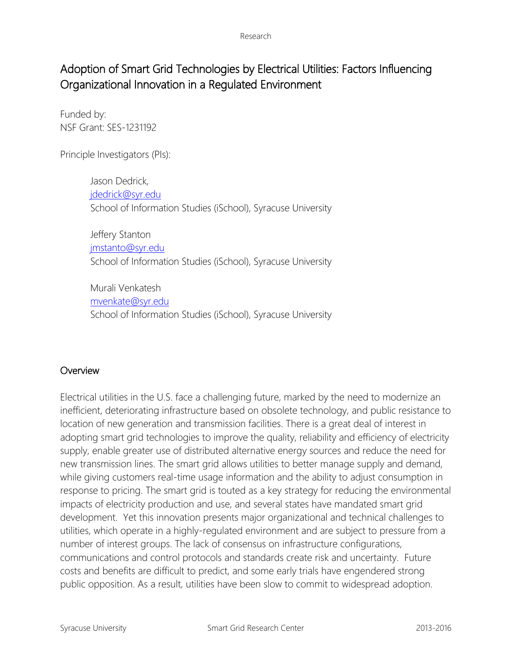# Adoption of Smart Grid Technologies by Electrical Utilities: Factors Influencing Organizational Innovation in a Regulated Environment

Funded by: NSF Grant: SES-1231192

Principle Investigators (PIs):

Jason Dedrick, [jdedrick@syr.edu](mailto:jdedrick@syr.edu) School of Information Studies (iSchool), Syracuse University

Jeffery Stanton [jmstanto@syr.edu](mailto:jmstanto@syr.edu) School of Information Studies (iSchool), Syracuse University

Murali Venkatesh [mvenkate@syr.edu](mailto:trakha@syr.edu) School of Information Studies (iSchool), Syracuse University

# **Overview**

Electrical utilities in the U.S. face a challenging future, marked by the need to modernize an inefficient, deteriorating infrastructure based on obsolete technology, and public resistance to location of new generation and transmission facilities. There is a great deal of interest in adopting smart grid technologies to improve the quality, reliability and efficiency of electricity supply, enable greater use of distributed alternative energy sources and reduce the need for new transmission lines. The smart grid allows utilities to better manage supply and demand, while giving customers real-time usage information and the ability to adjust consumption in response to pricing. The smart grid is touted as a key strategy for reducing the environmental impacts of electricity production and use, and several states have mandated smart grid development. Yet this innovation presents major organizational and technical challenges to utilities, which operate in a highly-regulated environment and are subject to pressure from a number of interest groups. The lack of consensus on infrastructure configurations, communications and control protocols and standards create risk and uncertainty. Future costs and benefits are difficult to predict, and some early trials have engendered strong public opposition. As a result, utilities have been slow to commit to widespread adoption.